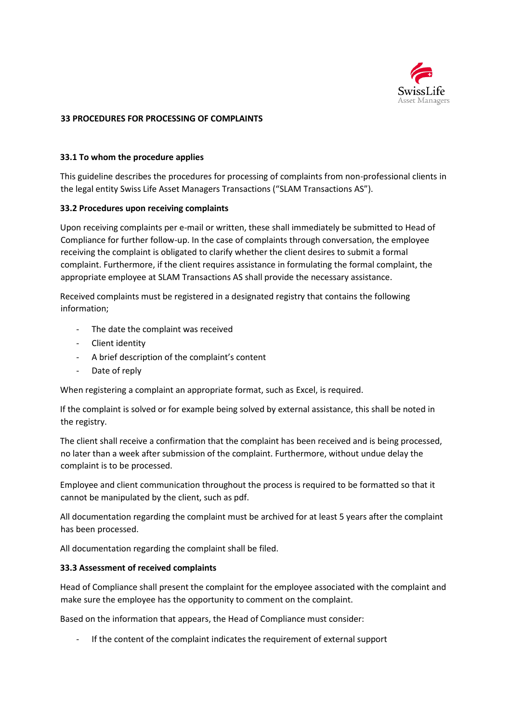

## **33 PROCEDURES FOR PROCESSING OF COMPLAINTS**

## **33.1 To whom the procedure applies**

This guideline describes the procedures for processing of complaints from non-professional clients in the legal entity Swiss Life Asset Managers Transactions ("SLAM Transactions AS").

# **33.2 Procedures upon receiving complaints**

Upon receiving complaints per e-mail or written, these shall immediately be submitted to Head of Compliance for further follow-up. In the case of complaints through conversation, the employee receiving the complaint is obligated to clarify whether the client desires to submit a formal complaint. Furthermore, if the client requires assistance in formulating the formal complaint, the appropriate employee at SLAM Transactions AS shall provide the necessary assistance.

Received complaints must be registered in a designated registry that contains the following information;

- The date the complaint was received
- Client identity
- A brief description of the complaint's content
- Date of reply

When registering a complaint an appropriate format, such as Excel, is required.

If the complaint is solved or for example being solved by external assistance, this shall be noted in the registry.

The client shall receive a confirmation that the complaint has been received and is being processed, no later than a week after submission of the complaint. Furthermore, without undue delay the complaint is to be processed.

Employee and client communication throughout the process is required to be formatted so that it cannot be manipulated by the client, such as pdf.

All documentation regarding the complaint must be archived for at least 5 years after the complaint has been processed.

All documentation regarding the complaint shall be filed.

#### **33.3 Assessment of received complaints**

Head of Compliance shall present the complaint for the employee associated with the complaint and make sure the employee has the opportunity to comment on the complaint.

Based on the information that appears, the Head of Compliance must consider:

- If the content of the complaint indicates the requirement of external support